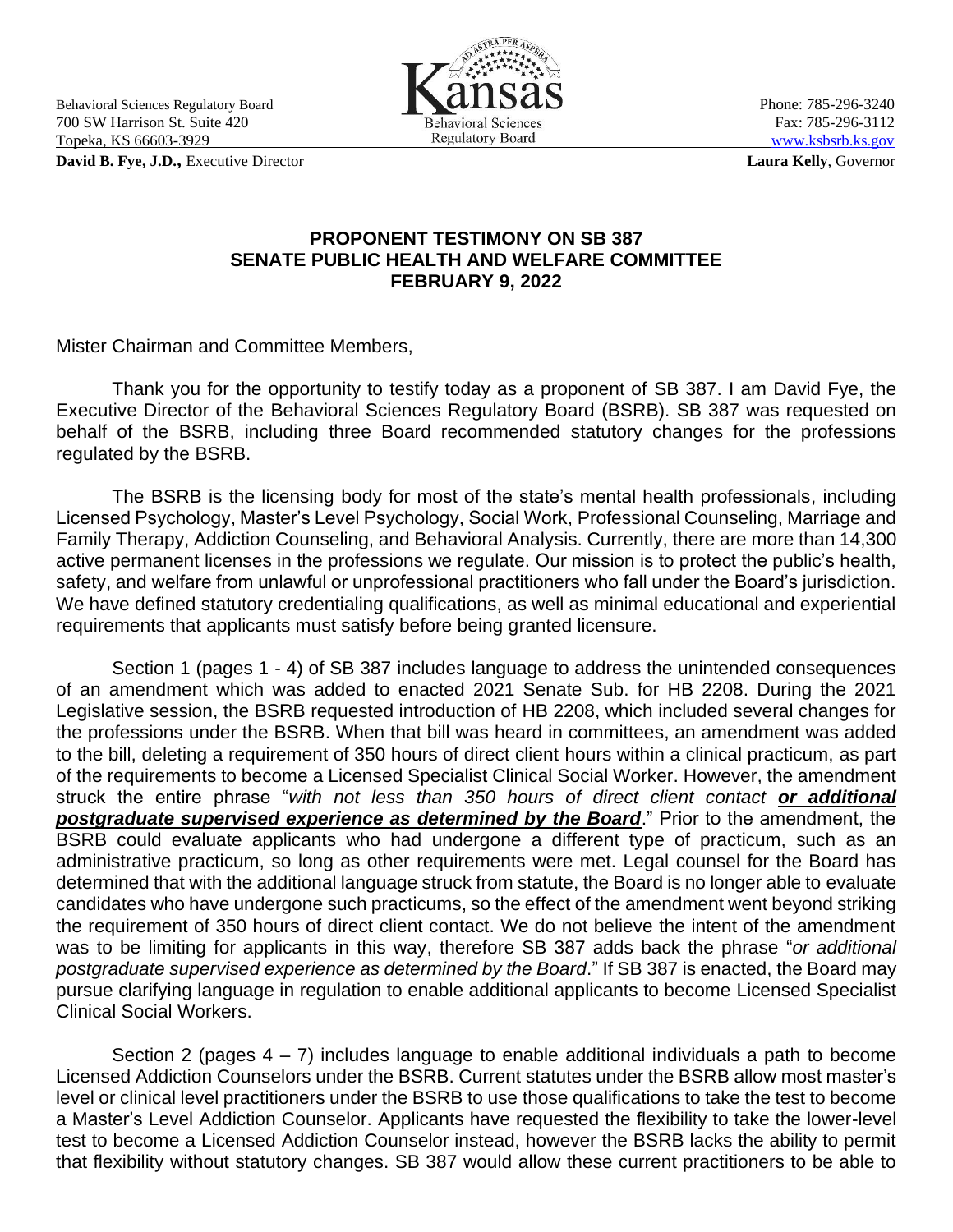Behavioral Sciences Regulatory Board **Phone: 785-296-3240** Phone: 785-296-3240 700 SW Harrison St. Suite 420 Behavioral Sciences Fax: 785-296-3112<br>
Topeka, KS 66603-3929 Regulatory Board WWW.ksbsrb.ks.gov Topeka, KS 66603-3929

**David B. Fye, J.D.,** Executive Director **Laura Kelly**, Governor

FRA PER

## **PROPONENT TESTIMONY ON SB 387 SENATE PUBLIC HEALTH AND WELFARE COMMITTEE FEBRUARY 9, 2022**

Mister Chairman and Committee Members,

Thank you for the opportunity to testify today as a proponent of SB 387. I am David Fye, the Executive Director of the Behavioral Sciences Regulatory Board (BSRB). SB 387 was requested on behalf of the BSRB, including three Board recommended statutory changes for the professions regulated by the BSRB.

The BSRB is the licensing body for most of the state's mental health professionals, including Licensed Psychology, Master's Level Psychology, Social Work, Professional Counseling, Marriage and Family Therapy, Addiction Counseling, and Behavioral Analysis. Currently, there are more than 14,300 active permanent licenses in the professions we regulate. Our mission is to protect the public's health, safety, and welfare from unlawful or unprofessional practitioners who fall under the Board's jurisdiction. We have defined statutory credentialing qualifications, as well as minimal educational and experiential requirements that applicants must satisfy before being granted licensure.

Section 1 (pages 1 - 4) of SB 387 includes language to address the unintended consequences of an amendment which was added to enacted 2021 Senate Sub. for HB 2208. During the 2021 Legislative session, the BSRB requested introduction of HB 2208, which included several changes for the professions under the BSRB. When that bill was heard in committees, an amendment was added to the bill, deleting a requirement of 350 hours of direct client hours within a clinical practicum, as part of the requirements to become a Licensed Specialist Clinical Social Worker. However, the amendment struck the entire phrase "*with not less than 350 hours of direct client contact or additional postgraduate supervised experience as determined by the Board*." Prior to the amendment, the BSRB could evaluate applicants who had undergone a different type of practicum, such as an administrative practicum, so long as other requirements were met. Legal counsel for the Board has determined that with the additional language struck from statute, the Board is no longer able to evaluate candidates who have undergone such practicums, so the effect of the amendment went beyond striking the requirement of 350 hours of direct client contact. We do not believe the intent of the amendment was to be limiting for applicants in this way, therefore SB 387 adds back the phrase "*or additional postgraduate supervised experience as determined by the Board*." If SB 387 is enacted, the Board may pursue clarifying language in regulation to enable additional applicants to become Licensed Specialist Clinical Social Workers.

Section 2 (pages  $4 - 7$ ) includes language to enable additional individuals a path to become Licensed Addiction Counselors under the BSRB. Current statutes under the BSRB allow most master's level or clinical level practitioners under the BSRB to use those qualifications to take the test to become a Master's Level Addiction Counselor. Applicants have requested the flexibility to take the lower-level test to become a Licensed Addiction Counselor instead, however the BSRB lacks the ability to permit that flexibility without statutory changes. SB 387 would allow these current practitioners to be able to